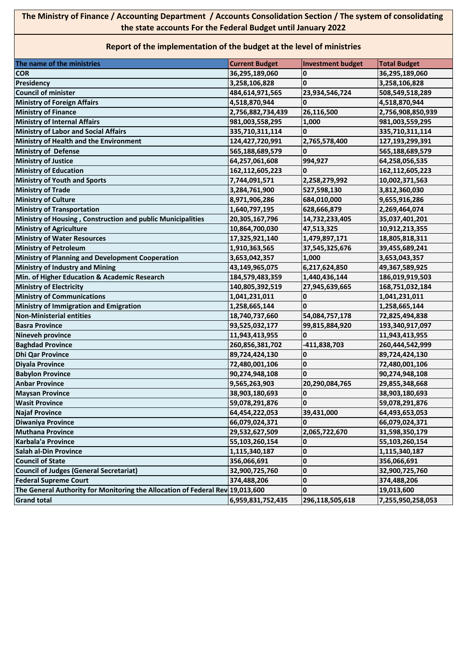## **The Ministry of Finance / Accounting Department / Accounts Consolidation Section / The system of consolidating the state accounts For the Federal Budget until January 2022**

## **Report of the implementation of the budget at the level of ministries**

| The name of the ministries                                                    | <b>Current Budget</b> | <b>Investment budget</b> | <b>Total Budget</b> |
|-------------------------------------------------------------------------------|-----------------------|--------------------------|---------------------|
| <b>COR</b>                                                                    | 36,295,189,060        | 0                        | 36,295,189,060      |
| Presidency                                                                    | 3,258,106,828         | 0                        | 3,258,106,828       |
| <b>Council of minister</b>                                                    | 484,614,971,565       | 23,934,546,724           | 508,549,518,289     |
| <b>Ministry of Foreign Affairs</b>                                            | 4,518,870,944         | 0                        | 4,518,870,944       |
| <b>Ministry of Finance</b>                                                    | 2,756,882,734,439     | 26,116,500               | 2,756,908,850,939   |
| <b>Ministry of Internal Affairs</b>                                           | 981,003,558,295       | 1,000                    | 981,003,559,295     |
| <b>Ministry of Labor and Social Affairs</b>                                   | 335,710,311,114       | 0                        | 335,710,311,114     |
| Ministry of Health and the Environment                                        | 124,427,720,991       | 2,765,578,400            | 127,193,299,391     |
| <b>Ministry of Defense</b>                                                    | 565,188,689,579       | 0                        | 565,188,689,579     |
| <b>Ministry of Justice</b>                                                    | 64,257,061,608        | 994,927                  | 64,258,056,535      |
| <b>Ministry of Education</b>                                                  | 162,112,605,223       | 0                        | 162,112,605,223     |
| <b>Ministry of Youth and Sports</b>                                           | 7,744,091,571         | 2,258,279,992            | 10,002,371,563      |
| <b>Ministry of Trade</b>                                                      | 3,284,761,900         | 527,598,130              | 3,812,360,030       |
| <b>Ministry of Culture</b>                                                    | 8,971,906,286         | 684,010,000              | 9,655,916,286       |
| <b>Ministry of Transportation</b>                                             | 1,640,797,195         | 628,666,879              | 2,269,464,074       |
| Ministry of Housing, Construction and public Municipalities                   | 20,305,167,796        | 14,732,233,405           | 35,037,401,201      |
| <b>Ministry of Agriculture</b>                                                | 10,864,700,030        | 47,513,325               | 10,912,213,355      |
| <b>Ministry of Water Resources</b>                                            | 17,325,921,140        | 1,479,897,171            | 18,805,818,311      |
| <b>Ministry of Petroleum</b>                                                  | 1,910,363,565         | 37,545,325,676           | 39,455,689,241      |
| Ministry of Planning and Development Cooperation                              | 3,653,042,357         | 1,000                    | 3,653,043,357       |
| <b>Ministry of Industry and Mining</b>                                        | 43,149,965,075        | 6,217,624,850            | 49,367,589,925      |
| Min. of Higher Education & Academic Research                                  | 184,579,483,359       | 1,440,436,144            | 186,019,919,503     |
| <b>Ministry of Electricity</b>                                                | 140,805,392,519       | 27,945,639,665           | 168,751,032,184     |
| <b>Ministry of Communications</b>                                             | 1,041,231,011         | 0                        | 1,041,231,011       |
| Ministry of Immigration and Emigration                                        | 1,258,665,144         | $\mathbf{0}$             | 1,258,665,144       |
| <b>Non-Ministerial entities</b>                                               | 18,740,737,660        | 54,084,757,178           | 72,825,494,838      |
| <b>Basra Province</b>                                                         | 93,525,032,177        | 99,815,884,920           | 193,340,917,097     |
| <b>Nineveh province</b>                                                       | 11,943,413,955        | $\Omega$                 | 11,943,413,955      |
| <b>Baghdad Province</b>                                                       | 260,856,381,702       | -411,838,703             | 260,444,542,999     |
| <b>Dhi Qar Province</b>                                                       | 89,724,424,130        | $\mathbf 0$              | 89,724,424,130      |
| <b>Diyala Province</b>                                                        | 72,480,001,106        | $\mathbf 0$              | 72,480,001,106      |
| <b>Babylon Province</b>                                                       | 90,274,948,108        | $\mathbf{0}$             | 90,274,948,108      |
| <b>Anbar Province</b>                                                         | 9,565,263,903         | 20,290,084,765           | 29,855,348,668      |
| <b>Maysan Province</b>                                                        | 38,903,180,693        | $\bf{0}$                 | 38,903,180,693      |
| <b>Wasit Province</b>                                                         | 59,078,291,876        | $\overline{\mathbf{0}}$  | 59,078,291,876      |
| <b>Najaf Province</b>                                                         | 64,454,222,053        | 39,431,000               | 64,493,653,053      |
| <b>Diwaniya Province</b>                                                      | 66,079,024,371        | 0                        | 66,079,024,371      |
| <b>Muthana Province</b>                                                       | 29,532,627,509        | 2,065,722,670            | 31,598,350,179      |
| Karbala'a Province                                                            | 55,103,260,154        | 0                        | 55,103,260,154      |
| <b>Salah al-Din Province</b>                                                  | 1,115,340,187         | $\bf{0}$                 | 1,115,340,187       |
| <b>Council of State</b>                                                       | 356,066,691           | 0                        | 356,066,691         |
| <b>Council of Judges (General Secretariat)</b>                                | 32,900,725,760        | 0                        | 32,900,725,760      |
| <b>Federal Supreme Court</b>                                                  | 374,488,206           | 0                        | 374,488,206         |
| The General Authority for Monitoring the Allocation of Federal Rev 19,013,600 |                       | 0                        | 19,013,600          |
| <b>Grand total</b>                                                            | 6,959,831,752,435     | 296,118,505,618          | 7,255,950,258,053   |
|                                                                               |                       |                          |                     |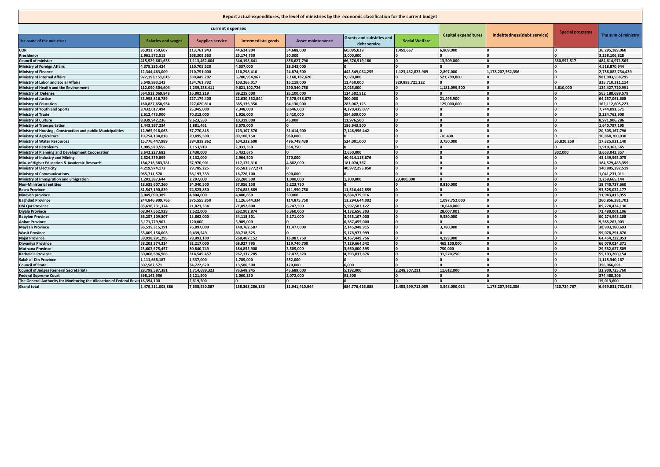| Report actual expenditures, the level of ministries by the economic classification for the current budget |                           |                         |                    |                          |                                                 |                         |                             |                            |             |                     |
|-----------------------------------------------------------------------------------------------------------|---------------------------|-------------------------|--------------------|--------------------------|-------------------------------------------------|-------------------------|-----------------------------|----------------------------|-------------|---------------------|
| current expenses                                                                                          |                           |                         |                    |                          |                                                 | <b>Special programs</b> |                             |                            |             |                     |
| The name of the ministries                                                                                | <b>Salaries and wages</b> | <b>Supplies service</b> | Intermediate goods | <b>Asset maintenance</b> | <b>Grants and subsidies and</b><br>debt service | <b>Social Welfare</b>   | <b>Capital expenditures</b> | indebtedness(debt service) |             | The sum of ministry |
| <b>COR</b>                                                                                                | 36,013,750,607            | 113,761,943             | 44.624.804         | 54.688.000               | 60,095,039                                      | 1.459.667               | 6.809.000                   |                            |             | 36,295,189,060      |
| Presidency                                                                                                | 2,961,572,515             | 268,309,563             | 25,174,750         | 50.000                   | 3.000.000                                       |                         |                             |                            |             | 3.258.106.828       |
| <b>Council of minister</b>                                                                                | 415,529,661,653           | 1,113,462,804           | 344,198,641        | 856,627,790              | 66,376,519,160                                  |                         | 13,509,000                  |                            | 380,992,517 | 484,614,971,565     |
| <b>Ministry of Foreign Affairs</b>                                                                        | 4,375,285,424             | 110,705,520             | 4,537,000          | 28.343.000               |                                                 |                         |                             |                            |             | 4.518.870.944       |
| <b>Ministry of Finance</b>                                                                                | 12.344.463.009            | 210.751.000             | 110.298.410        | 24.874.500               | 442.549.064.255                                 | 1.123.432.823.909       | 2.897.000                   | 1,178,207,562,356          |             | 2.756.882.734.439   |
| <b>Ministry of Internal Affairs</b>                                                                       | 972,193,151,616           | 330,449,292             | 5,780,954,967      | 2,168,182,620            | 9,020,000                                       |                         | 521,799,800                 |                            |             | 981,003,558,295     |
| <b>Ministry of Labor and Social Affairs</b>                                                               | 5,549,993,143             | 134,761,732             | 103,266,017        | 16.119.000               | 12,450,000                                      | 329,893,721,222         |                             |                            |             | 335,710,311,114     |
| Ministry of Health and the Environment                                                                    | 112,090,304,604           | 1,239,238,411           | 9,621,102,726      | 290,340,750              | 2,025,000                                       |                         | 1,181,099,500               |                            | 3.610.000   | 124,427,720,991     |
| Ministry of Defense                                                                                       | 564,932,069,848           | 16,802,219              | 89,215,000         | 26,100,000               | 124,502,512                                     |                         |                             |                            |             | 565,188,689,579     |
| <b>Ministry of Justice</b>                                                                                | 33.998.816.789            | 227,179,400             | 22.630.332.844     | 7.378.938.675            | 300.000                                         |                         | 21.493.900                  |                            |             | 64.257.061.608      |
| <b>Ministry of Education</b>                                                                              | 160,827,650,934           | 227,620,814             | 585,136,350        | 64,130,000               | 283,067,125                                     |                         | 125,000,000                 |                            |             | 162,112,605,223     |
| Ministry of Youth and Sports                                                                              | 3,432,617,494             | 25,045,000              | 7,348,000          | 8,646,000                | 4,270,435,077                                   |                         |                             |                            |             | 7,744,091,571       |
| <b>Ministry of Trade</b>                                                                                  | 2,612,473,900             | 70,313,000              | 1,926,000          | 5,410,000                | 594,639,000                                     |                         |                             |                            |             | 3,284,761,900       |
| <b>Ministry of Culture</b>                                                                                | 8,939,942,236             | 9,623,550               | 10,319,000         | 45,000                   | 11,976,500                                      |                         |                             |                            |             | 8,971,906,286       |
| <b>Ministry of Transportation</b>                                                                         | 1.443.397.234             | 1.881.461               | 8,575,000          |                          | 186,943,500                                     |                         |                             |                            |             | 1.640.797.195       |
| Ministry of Housing, Construction and public Municipalities                                               | 12,965,918,063            | 37,770,815              | 123,107,576        | 31,414,900               | 7,146,956,442                                   |                         |                             |                            |             | 20,305,167,796      |
| Ministry of Agriculture                                                                                   | 10,754,134,818            | 20,495,500              | 89,180,150         | 960,000                  |                                                 |                         | $-70.438$                   |                            |             | 10,864,700,030      |
| <b>Ministry of Water Resources</b>                                                                        | 15,776,447,989            | 384,819,862             | 104,332,600        | 496,749,439              | 524,001,000                                     |                         | 3,750,000                   |                            | 35,820,250  | 17,325,921,140      |
| <b>Ministry of Petroleum</b>                                                                              | 1,905,923,555             | 1,153,910               | 2,931,350          | 354,750                  |                                                 |                         |                             |                            |             | 1.910.363.565       |
| <b>Ministry of Planning and Development Cooperation</b>                                                   | 3.642.227.682             | 2.430.000               | 5.432.675          |                          | 2.650.000                                       |                         |                             |                            | 302,000     | 3.653.042.357       |
| Ministry of Industry and Mining                                                                           | 2,524,379,899             | 8,132,000               | 2,964,500          | 370,000                  | 40,614,118,676                                  |                         |                             |                            |             | 43,149,965,075      |
| Min. of Higher Education & Academic Research                                                              | 184,218,383,781           | 57,970,901              | 117,172,310        | 4.882.000                | 181,074,367                                     |                         |                             |                            |             | 184,579,483,359     |
| <b>Ministry of Electricity</b>                                                                            | 4.219.974.173             | 29.785.225              | 95.583.377.271     |                          | 40.972.255.850                                  |                         |                             |                            |             | 140.805.392.519     |
| <b>Ministry of Communications</b>                                                                         | 965,711,578               | 58,193,333              | 16,726,100         | 600,000                  |                                                 |                         |                             |                            |             | 1,041,231,011       |
| Ministry of Immigration and Emigration                                                                    | 1,201,387,644             | 2,297,000               | 29,280,500         | 1.000.000                | 1,300,000                                       | 23,400,000              |                             |                            |             | 1,258,665,144       |
| <b>Non-Ministerial entities</b>                                                                           | 18,635,607,260            | 54,040,500              | 37,056,150         | 5,223,750                |                                                 |                         | 8,810,000                   |                            |             | 18,740,737,660      |
| <b>Basra Province</b>                                                                                     | 81,547,190,829            | 74,523,850              | 274,883,889        | 111,990,750              | 11,516,442,859                                  |                         |                             |                            |             | 93,525,032,177      |
| Nineveh province                                                                                          | 3,049,099,389             | 4,804,000               | 4,480,650          | 50.000                   | 8.884.979.916                                   |                         |                             |                            |             | 11,943,413,955      |
| <b>Baghdad Province</b>                                                                                   | 244,846,909,766           | 375,555,850             | 1,126,644,334      | 114,875,750              | 13,294,644,002                                  |                         | 1,097,752,000               |                            |             | 260,856,381,702     |
| <b>Dhi Qar Province</b>                                                                                   | 83,616,231,374            | 21.821.334              | 71,892,800         | 6,247,500                | 5,997,583,122                                   |                         | 10,648,000                  |                            |             | 89,724,424,130      |
| Divala Province                                                                                           | 68.047.552.928            | 2.522.000               | 262.902.874        | 6.360.000                | 4.132.656.303                                   |                         | 28.007.001                  |                            |             | 72.480.001.106      |
| <b>Babylon Province</b>                                                                                   | 86,257,109,807            | 13,862,000              | 34,118,301         | 5,171,000                | 3,955,107,000                                   |                         | 9,580,000                   |                            |             | 90.274.948.108      |
| <b>Anbar Province</b>                                                                                     | 3.171.779.903             | 120.000                 | 5.909.000          |                          | 6.387.455.000                                   |                         |                             |                            |             | 9.565.263.903       |
| <b>Maysan Province</b>                                                                                    | 36,515,315,191            | 76,897,000              | 149,762,587        | 11,477,000               | 2,145,948,915                                   |                         | 3,780,000                   |                            |             | 38,903,180,693      |
| <b>Wasit Province</b>                                                                                     | 53,809,156,003            | 9,439,549               | 80,718,325         |                          | 5,178,977,999                                   |                         |                             |                            |             | 59,078,291,876      |
| <b>Naiaf Province</b>                                                                                     | 59.918.291.295            | 78.893.100              | 268.407.152        | 16.987.750               | 4.167.449.756                                   |                         | 4.193.000                   |                            |             | 64.454.222.053      |
| Diwaniya Province                                                                                         | 58,203,374,334            | 92,217,000              | 68,927,795         | 119,740,700              | 7,129,664,542                                   |                         | 465,100,000                 |                            |             | 66,079,024,371      |
| <b>Muthana Province</b>                                                                                   | 25,602,675,457            | 80,840,749              | 184.855.908        | 3,505,000                | 3,660,000,395                                   |                         | 750.000                     |                            |             | 29,532,627,509      |
| Karbala'a Province                                                                                        | 50,068,696,966            | 314,549,457             | 262,137,285        | 32,472,320               | 4,393,833,876                                   |                         | 31,570,250                  |                            |             | 55,103,260,154      |
| Salah al-Din Province                                                                                     | 1,111,666,187             | 1.337.000               | 1.785.000          | 552.000                  |                                                 |                         |                             |                            |             | 1.115.340.187       |
| <b>Council of State</b>                                                                                   | 307,587,571               | 34,722,620              | 13,580,500         | 170,000                  | 6.000                                           |                         |                             |                            |             | 356,066,691         |
| <b>Council of Judges (General Secretariat)</b>                                                            | 28,798,587,381            | 1,714,689,323           | 76,648,845         | 45,689,000               | 5,192,000                                       | 2,248,307,211           | 11,612,000                  |                            |             | 32,900,725,760      |
| <b>Federal Supreme Court</b>                                                                              | 368.142.956               | 2,121,500               | 2.060.250          | 2.072.000                | 91.500                                          |                         |                             |                            |             | 374.488.206         |
| The General Authority for Monitoring the Allocation of Federal Revel 16,394,100                           |                           | 2,619,500               |                    |                          |                                                 |                         |                             |                            |             | 19,013,600          |
| <b>Grand total</b>                                                                                        | 3,479,311,008,886         | 7,658,530,587           | 138, 368, 286, 186 | 11.941.410.944           | 684,776,426,688                                 | 1,455,599,712,009       | 3,548,090,013               | 1,178,207,562,356          | 420,724,767 | 6,959,831,752,435   |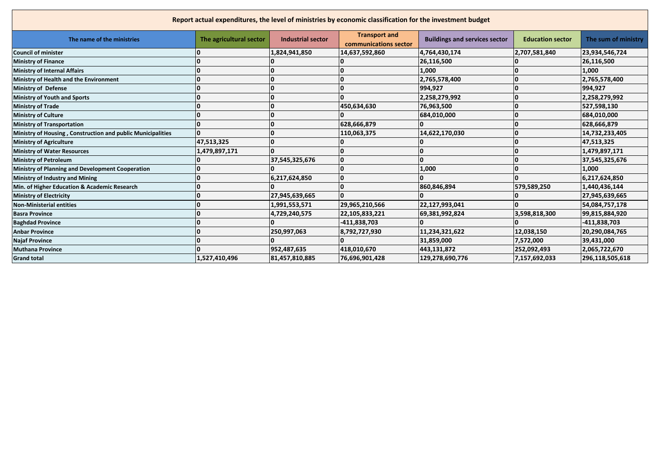| Report actual expenditures, the level of ministries by economic classification for the investment budget |                         |                          |                                               |                                      |                         |                     |
|----------------------------------------------------------------------------------------------------------|-------------------------|--------------------------|-----------------------------------------------|--------------------------------------|-------------------------|---------------------|
| The name of the ministries                                                                               | The agricultural sector | <b>Industrial sector</b> | <b>Transport and</b><br>communications sector | <b>Buildings and services sector</b> | <b>Education sector</b> | The sum of ministry |
| <b>Council of minister</b>                                                                               |                         | 1,824,941,850            | 14,637,592,860                                | 4,764,430,174                        | 2,707,581,840           | 23,934,546,724      |
| <b>Ministry of Finance</b>                                                                               |                         |                          |                                               | 26,116,500                           |                         | 26,116,500          |
| <b>Ministry of Internal Affairs</b>                                                                      |                         |                          |                                               | 1,000                                |                         | 1,000               |
| Ministry of Health and the Environment                                                                   |                         | O                        |                                               | 2,765,578,400                        |                         | 2,765,578,400       |
| <b>Ministry of Defense</b>                                                                               |                         | In                       |                                               | 994,927                              |                         | 994,927             |
| <b>Ministry of Youth and Sports</b>                                                                      |                         |                          |                                               | 2,258,279,992                        |                         | 2,258,279,992       |
| <b>Ministry of Trade</b>                                                                                 |                         | ۱a                       | 450,634,630                                   | 76,963,500                           |                         | 527,598,130         |
| <b>Ministry of Culture</b>                                                                               |                         | ۱O                       |                                               | 684,010,000                          |                         | 684,010,000         |
| <b>Ministry of Transportation</b>                                                                        |                         |                          | 628,666,879                                   |                                      |                         | 628,666,879         |
| Ministry of Housing, Construction and public Municipalities                                              |                         | O                        | 110,063,375                                   | 14,622,170,030                       |                         | 14,732,233,405      |
| <b>Ministry of Agriculture</b>                                                                           | 47,513,325              | O                        |                                               |                                      |                         | 47,513,325          |
| <b>Ministry of Water Resources</b>                                                                       | 1,479,897,171           | $\mathbf{0}$             |                                               |                                      |                         | 1,479,897,171       |
| <b>Ministry of Petroleum</b>                                                                             |                         | 37,545,325,676           | 10                                            |                                      |                         | 37,545,325,676      |
| Ministry of Planning and Development Cooperation                                                         |                         |                          |                                               | 1,000                                |                         | 1,000               |
| <b>Ministry of Industry and Mining</b>                                                                   |                         | 6,217,624,850            | <b>0</b>                                      |                                      |                         | 6,217,624,850       |
| Min. of Higher Education & Academic Research                                                             |                         |                          | 10                                            | 860,846,894                          | 579,589,250             | 1,440,436,144       |
| <b>Ministry of Electricity</b>                                                                           |                         | 27,945,639,665           | $\Omega$                                      |                                      |                         | 27,945,639,665      |
| <b>Non-Ministerial entities</b>                                                                          |                         | 1,991,553,571            | 29,965,210,566                                | 22,127,993,041                       |                         | 54,084,757,178      |
| <b>Basra Province</b>                                                                                    |                         | 4,729,240,575            | 22,105,833,221                                | 69,381,992,824                       | 3,598,818,300           | 99,815,884,920      |
| <b>Baghdad Province</b>                                                                                  |                         |                          | $-411,838,703$                                |                                      |                         | $-411,838,703$      |
| <b>Anbar Province</b>                                                                                    |                         | 250,997,063              | 8,792,727,930                                 | 11,234,321,622                       | 12,038,150              | 20,290,084,765      |
| <b>Najaf Province</b>                                                                                    |                         |                          |                                               | 31,859,000                           | 7,572,000               | 39,431,000          |
| <b>Muthana Province</b>                                                                                  |                         | 952,487,635              | 418,010,670                                   | 443,131,872                          | 252,092,493             | 2,065,722,670       |
| <b>Grand total</b>                                                                                       | 1,527,410,496           | 81,457,810,885           | 76,696,901,428                                | 129,278,690,776                      | 7,157,692,033           | 296,118,505,618     |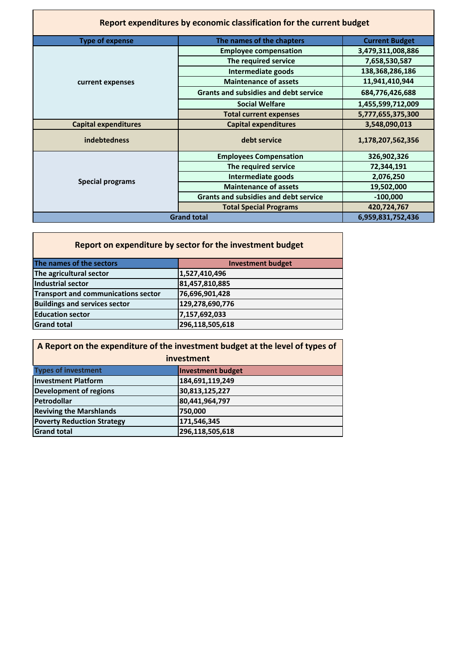| Report expenditures by economic classification for the current budget |                                              |                       |  |  |
|-----------------------------------------------------------------------|----------------------------------------------|-----------------------|--|--|
| <b>Type of expense</b>                                                | The names of the chapters                    | <b>Current Budget</b> |  |  |
|                                                                       | <b>Employee compensation</b>                 | 3,479,311,008,886     |  |  |
|                                                                       | The required service                         | 7,658,530,587         |  |  |
|                                                                       | Intermediate goods                           | 138, 368, 286, 186    |  |  |
| current expenses                                                      | <b>Maintenance of assets</b>                 | 11,941,410,944        |  |  |
|                                                                       | <b>Grants and subsidies and debt service</b> | 684,776,426,688       |  |  |
|                                                                       | <b>Social Welfare</b>                        | 1,455,599,712,009     |  |  |
|                                                                       | <b>Total current expenses</b>                | 5,777,655,375,300     |  |  |
| <b>Capital expenditures</b>                                           | <b>Capital expenditures</b>                  | 3,548,090,013         |  |  |
| <b>indebtedness</b>                                                   | debt service                                 | 1,178,207,562,356     |  |  |
|                                                                       | <b>Employees Compensation</b>                | 326,902,326           |  |  |
|                                                                       | The required service                         | 72,344,191            |  |  |
| <b>Special programs</b>                                               | Intermediate goods                           | 2,076,250             |  |  |
|                                                                       | <b>Maintenance of assets</b>                 | 19,502,000            |  |  |
|                                                                       | <b>Grants and subsidies and debt service</b> | $-100,000$            |  |  |
|                                                                       | <b>Total Special Programs</b>                | 420,724,767           |  |  |
|                                                                       | <b>Grand total</b>                           | 6,959,831,752,436     |  |  |

| Report on expenditure by sector for the investment budget |                          |  |  |  |
|-----------------------------------------------------------|--------------------------|--|--|--|
| The names of the sectors                                  | <b>Investment budget</b> |  |  |  |
| The agricultural sector                                   | 1,527,410,496            |  |  |  |
| Industrial sector                                         | 81,457,810,885           |  |  |  |
| <b>Transport and communications sector</b>                | 76,696,901,428           |  |  |  |
| <b>Buildings and services sector</b>                      | 129,278,690,776          |  |  |  |
| <b>Education sector</b>                                   | 7,157,692,033            |  |  |  |
| <b>Grand total</b>                                        | 296,118,505,618          |  |  |  |

| A Report on the expenditure of the investment budget at the level of types of |                          |  |  |
|-------------------------------------------------------------------------------|--------------------------|--|--|
| investment                                                                    |                          |  |  |
| <b>Types of investment</b>                                                    | <b>Investment budget</b> |  |  |
| <b>Investment Platform</b>                                                    | 184,691,119,249          |  |  |
| <b>Development of regions</b>                                                 | 30,813,125,227           |  |  |
| Petrodollar                                                                   | 80,441,964,797           |  |  |
| <b>Reviving the Marshlands</b>                                                | 750,000                  |  |  |
| <b>Poverty Reduction Strategy</b>                                             | 171,546,345              |  |  |
| <b>Grand total</b>                                                            | 296,118,505,618          |  |  |